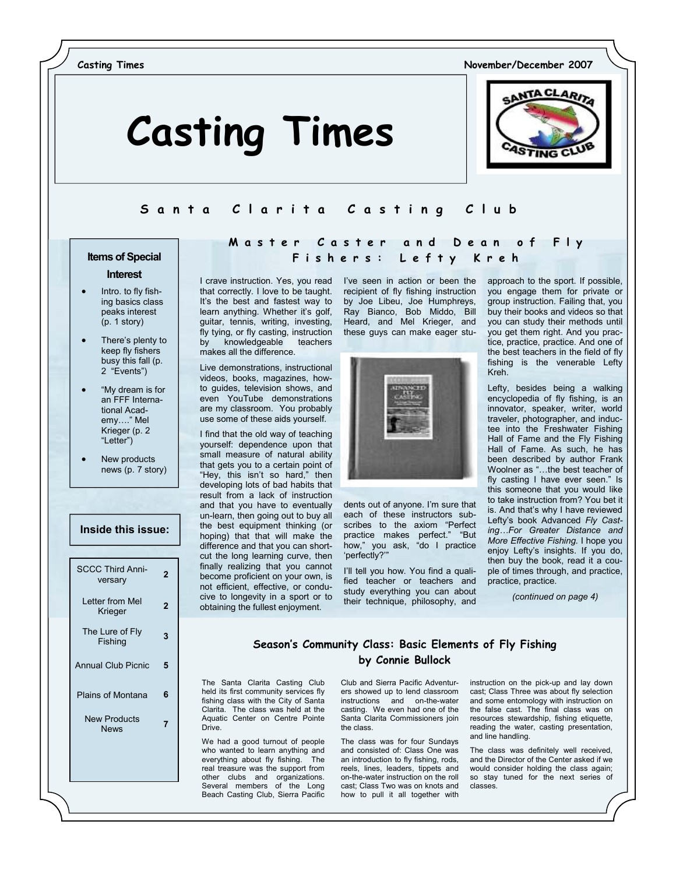Casting Times November/December 2007

# Casting Times



# Santa Clarita Casting Club

## Interest

- Intro. to fly fishing basics class peaks interest (p. 1 story)
- There's plenty to keep fly fishers busy this fall (p. 2 "Events")
- "My dream is for an FFF International Academy…." Mel Krieger (p. 2 "Letter")
- New products news (p. 7 story)

## Inside this issue:

| <b>SCCC Third Anni-</b><br>versary | 2 |
|------------------------------------|---|
| Letter from Mel<br>Krieger         | 2 |
| The Lure of Fly<br>Fishing         | 3 |
| <b>Annual Club Picnic</b>          | 5 |
| <b>Plains of Montana</b>           | 6 |
| New Products<br>News               | 7 |
|                                    |   |

## Master Caster and Dean of Fly Items of Special Items of Special Items of Special Items of Special Items are set of the result of the result of the result of the result of the result of the result of the result of the result of the result of the result

I crave instruction. Yes, you read that correctly. I love to be taught. It's the best and fastest way to learn anything. Whether it's golf, guitar, tennis, writing, investing, fly tying, or fly casting, instruction by knowledgeable teachers makes all the difference.

Live demonstrations, instructional videos, books, magazines, howto guides, television shows, and even YouTube demonstrations are my classroom. You probably use some of these aids yourself.

I find that the old way of teaching yourself: dependence upon that small measure of natural ability that gets you to a certain point of "Hey, this isn't so hard," then developing lots of bad habits that result from a lack of instruction and that you have to eventually un-learn, then going out to buy all the best equipment thinking (or hoping) that that will make the difference and that you can shortcut the long learning curve, then finally realizing that you cannot become proficient on your own, is not efficient, effective, or conducive to longevity in a sport or to obtaining the fullest enjoyment.

I've seen in action or been the recipient of fly fishing instruction by Joe Libeu, Joe Humphreys, Ray Bianco, Bob Middo, Bill Heard, and Mel Krieger, and these guys can make eager stu-



dents out of anyone. I'm sure that each of these instructors subscribes to the axiom "Perfect practice makes perfect." "But how," you ask, "do I practice 'perfectly?'"

I'll tell you how. You find a qualified teacher or teachers and study everything you can about their technique, philosophy, and approach to the sport. If possible, you engage them for private or group instruction. Failing that, you buy their books and videos so that you can study their methods until you get them right. And you practice, practice, practice. And one of the best teachers in the field of fly fishing is the venerable Lefty Kreh.

Lefty, besides being a walking encyclopedia of fly fishing, is an innovator, speaker, writer, world traveler, photographer, and inductee into the Freshwater Fishing Hall of Fame and the Fly Fishing Hall of Fame. As such, he has been described by author Frank Woolner as "…the best teacher of fly casting I have ever seen." Is this someone that you would like to take instruction from? You bet it is. And that's why I have reviewed Lefty's book Advanced Fly Casting…For Greater Distance and More Effective Fishing. I hope you enjoy Lefty's insights. If you do, then buy the book, read it a couple of times through, and practice, practice, practice.

(continued on page 4)

## Season's Community Class: Basic Elements of Fly Fishing by Connie Bullock

The Santa Clarita Casting Club held its first community services fly fishing class with the City of Santa Clarita. The class was held at the Aquatic Center on Centre Pointe Drive.

We had a good turnout of people who wanted to learn anything and everything about fly fishing. The real treasure was the support from other clubs and organizations. Several members of the Long Beach Casting Club, Sierra Pacific Club and Sierra Pacific Adventurers showed up to lend classroom instructions and on-the-water casting. We even had one of the Santa Clarita Commissioners join the class.

The class was for four Sundays and consisted of: Class One was an introduction to fly fishing, rods, reels, lines, leaders, tippets and on-the-water instruction on the roll cast; Class Two was on knots and how to pull it all together with

instruction on the pick-up and lay down cast; Class Three was about fly selection and some entomology with instruction on the false cast. The final class was on resources stewardship, fishing etiquette, reading the water, casting presentation, and line handling.

The class was definitely well received, and the Director of the Center asked if we would consider holding the class again; so stay tuned for the next series of classes.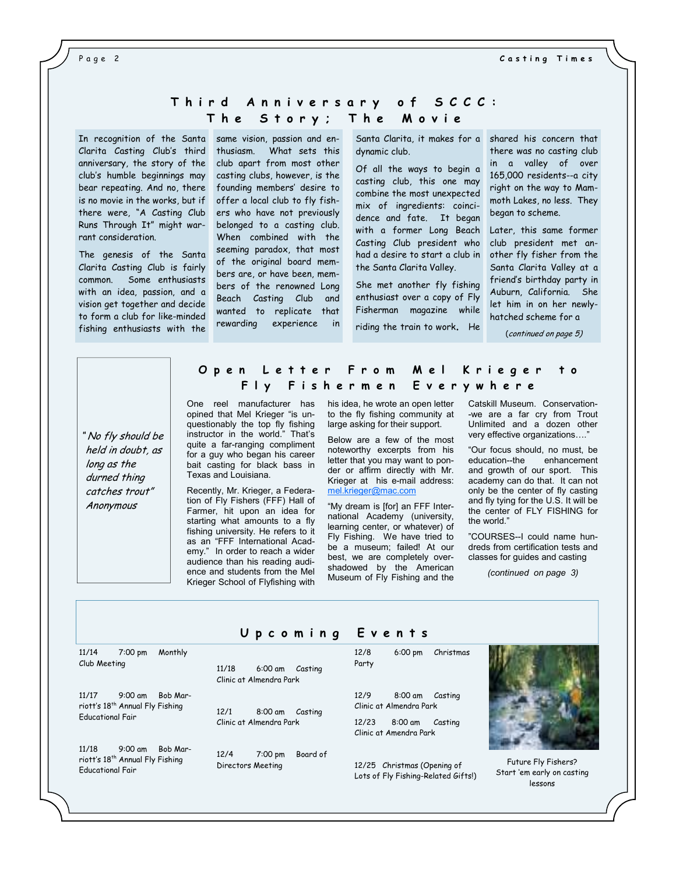Casting Times

### Page 2

## Third Anniversary of SCCC: T h e S t o r y ; T h e M o v i e

In recognition of the Santa Clarita Casting Club's third anniversary, the story of the club's humble beginnings may bear repeating. And no, there is no movie in the works, but if there were, "A Casting Club Runs Through It" might warrant consideration.

The genesis of the Santa Clarita Casting Club is fairly common. Some enthusiasts with an idea, passion, and a vision get together and decide to form a club for like-minded fishing enthusiasts with the

same vision, passion and enthusiasm. What sets this club apart from most other casting clubs, however, is the founding members' desire to offer a local club to fly fishers who have not previously belonged to a casting club. When combined with the seeming paradox, that most of the original board members are, or have been, members of the renowned Long Beach Casting Club and wanted to replicate that rewarding experience in

Santa Clarita, it makes for a dynamic club.

Of all the ways to begin a casting club, this one may combine the most unexpected mix of ingredients: coincidence and fate. It began with a former Long Beach Casting Club president who had a desire to start a club in the Santa Clarita Valley.

She met another fly fishing enthusiast over a copy of Fly Fisherman magazine while

riding the train to work. He

shared his concern that there was no casting club in a valley of over 165,000 residents--a city right on the way to Mammoth Lakes, no less. They began to scheme.

Later, this same former club president met another fly fisher from the Santa Clarita Valley at a friend's birthday party in Auburn, California. She let him in on her newlyhatched scheme for a

(continued on page 5)

" No fly should be held in doubt, as long as the durned thing catches trout" Anonymous

## O p en Letter From Mel Krieger to F l y F i s h e r m e n E v e r y w h e r e

One reel manufacturer has opined that Mel Krieger "is unquestionably the top fly fishing instructor in the world." That's quite a far-ranging compliment for a guy who began his career bait casting for black bass in Texas and Louisiana.

Recently, Mr. Krieger, a Federation of Fly Fishers (FFF) Hall of Farmer, hit upon an idea for starting what amounts to a fly fishing university. He refers to it as an "FFF International Academy." In order to reach a wider audience than his reading audience and students from the Mel Krieger School of Flyfishing with

his idea, he wrote an open letter to the fly fishing community at large asking for their support.

Below are a few of the most noteworthy excerpts from his letter that you may want to ponder or affirm directly with Mr. Krieger at his e-mail address: mel.krieger@mac.com

"My dream is [for] an FFF International Academy (university, learning center, or whatever) of Fly Fishing. We have tried to be a museum; failed! At our best, we are completely overshadowed by the American Museum of Fly Fishing and the Catskill Museum. Conservation- -we are a far cry from Trout Unlimited and a dozen other very effective organizations…."

"Our focus should, no must, be education--the enhancement and growth of our sport. This academy can do that. It can not only be the center of fly casting and fly tying for the U.S. It will be the center of FLY FISHING for the world."

"COURSES--I could name hundreds from certification tests and classes for guides and casting

(continued on page 3)

|                                                                                                          | <b>Upcoming Events</b>                                 |                                                                                              |                                                              |
|----------------------------------------------------------------------------------------------------------|--------------------------------------------------------|----------------------------------------------------------------------------------------------|--------------------------------------------------------------|
| 11/14<br>7:00 pm<br>Monthly<br>Club Meeting                                                              | 11/18<br>6:00 am<br>Casting<br>Clinic at Almendra Park | 12/8<br>$6:00 \text{ pm}$<br>Christmas<br>Party                                              |                                                              |
| 11/17<br>$9:00$ am<br>Bob Mar-<br>riott's 18 <sup>th</sup> Annual Fly Fishing<br><b>Fducational Fair</b> | 12/1<br>8:00 am<br>Casting<br>Clinic at Almendra Park  | 12/9<br>8:00 am Casting<br>Clinic at Almendra Park<br>12/23<br>8:00 am<br>Casting            |                                                              |
| 11/18<br>$9:00$ am<br>Bob Mar-<br>riott's 18 <sup>th</sup> Annual Fly Fishing<br><b>Fducational Fair</b> | 12/4<br>Board of<br>7:00 pm<br>Directors Meeting       | Clinic at Amendra Park<br>12/25 Christmas (Opening of<br>Lots of Fly Fishing-Related Gifts!) | Future Fly Fishers?<br>Start 'em early on casting<br>lessons |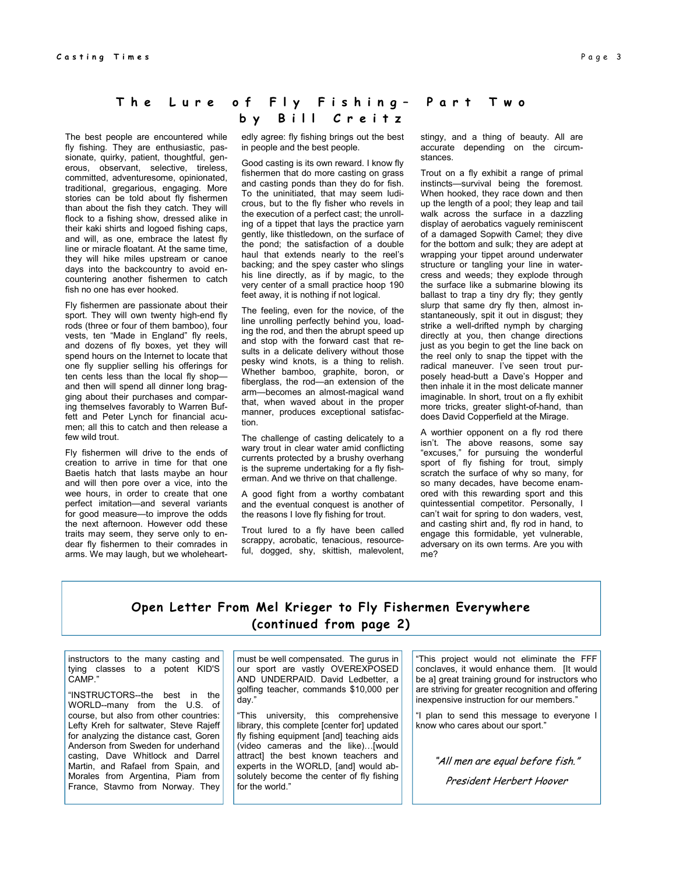## The Lure of Fly Fishing- Part Two by Bill Creitz

The best people are encountered while fly fishing. They are enthusiastic, passionate, quirky, patient, thoughtful, generous, observant, selective, tireless, committed, adventuresome, opinionated, traditional, gregarious, engaging. More stories can be told about fly fishermen than about the fish they catch. They will flock to a fishing show, dressed alike in their kaki shirts and logoed fishing caps, and will, as one, embrace the latest fly line or miracle floatant. At the same time, they will hike miles upstream or canoe days into the backcountry to avoid encountering another fishermen to catch fish no one has ever hooked.

Fly fishermen are passionate about their sport. They will own twenty high-end fly rods (three or four of them bamboo), four vests, ten "Made in England" fly reels, and dozens of fly boxes, yet they will spend hours on the Internet to locate that one fly supplier selling his offerings for ten cents less than the local fly shop and then will spend all dinner long bragging about their purchases and comparing themselves favorably to Warren Buffett and Peter Lynch for financial acumen; all this to catch and then release a few wild trout.

Fly fishermen will drive to the ends of creation to arrive in time for that one Baetis hatch that lasts maybe an hour and will then pore over a vice, into the wee hours, in order to create that one perfect imitation—and several variants for good measure—to improve the odds the next afternoon. However odd these traits may seem, they serve only to endear fly fishermen to their comrades in arms. We may laugh, but we wholeheart-

#### edly agree: fly fishing brings out the best in people and the best people.

Good casting is its own reward. I know fly fishermen that do more casting on grass and casting ponds than they do for fish. To the uninitiated, that may seem ludicrous, but to the fly fisher who revels in the execution of a perfect cast; the unrolling of a tippet that lays the practice yarn gently, like thistledown, on the surface of the pond; the satisfaction of a double haul that extends nearly to the reel's backing; and the spey caster who slings his line directly, as if by magic, to the very center of a small practice hoop 190 feet away, it is nothing if not logical.

The feeling, even for the novice, of the line unrolling perfectly behind you, loading the rod, and then the abrupt speed up and stop with the forward cast that results in a delicate delivery without those pesky wind knots, is a thing to relish. Whether bamboo, graphite, boron, or fiberglass, the rod—an extension of the arm—becomes an almost-magical wand that, when waved about in the proper manner, produces exceptional satisfaction.

The challenge of casting delicately to a wary trout in clear water amid conflicting currents protected by a brushy overhang is the supreme undertaking for a fly fisherman. And we thrive on that challenge.

A good fight from a worthy combatant and the eventual conquest is another of the reasons I love fly fishing for trout.

Trout lured to a fly have been called scrappy, acrobatic, tenacious, resourceful, dogged, shy, skittish, malevolent,

#### stingy, and a thing of beauty. All are accurate depending on the circumstances.

Trout on a fly exhibit a range of primal instincts—survival being the foremost. When hooked, they race down and then up the length of a pool; they leap and tail walk across the surface in a dazzling display of aerobatics vaguely reminiscent of a damaged Sopwith Camel; they dive for the bottom and sulk; they are adept at wrapping your tippet around underwater structure or tangling your line in watercress and weeds; they explode through the surface like a submarine blowing its ballast to trap a tiny dry fly; they gently slurp that same dry fly then, almost instantaneously, spit it out in disgust; they strike a well-drifted nymph by charging directly at you, then change directions just as you begin to get the line back on the reel only to snap the tippet with the radical maneuver. I've seen trout purposely head-butt a Dave's Hopper and then inhale it in the most delicate manner imaginable. In short, trout on a fly exhibit more tricks, greater slight-of-hand, than does David Copperfield at the Mirage.

A worthier opponent on a fly rod there isn't. The above reasons, some say "excuses," for pursuing the wonderful sport of fly fishing for trout, simply scratch the surface of why so many, for so many decades, have become enamored with this rewarding sport and this quintessential competitor. Personally, I can't wait for spring to don waders, vest, and casting shirt and, fly rod in hand, to engage this formidable, yet vulnerable, adversary on its own terms. Are you with me?

# Open Letter From Mel Krieger to Fly Fishermen Everywhere (continued from page 2)

instructors to the many casting and tying classes to a potent KID'S CAMP."

"INSTRUCTORS--the best in the WORLD--many from the U.S. of course, but also from other countries: Lefty Kreh for saltwater, Steve Rajeff for analyzing the distance cast, Goren Anderson from Sweden for underhand casting, Dave Whitlock and Darrel Martin, and Rafael from Spain, and Morales from Argentina, Piam from France, Stavmo from Norway. They

must be well compensated. The gurus in our sport are vastly OVEREXPOSED AND UNDERPAID. David Ledbetter, a golfing teacher, commands \$10,000 per day."

"This university, this comprehensive library, this complete [center for] updated fly fishing equipment [and] teaching aids (video cameras and the like)…[would attract] the best known teachers and experts in the WORLD, [and] would absolutely become the center of fly fishing for the world."

"This project would not eliminate the FFF conclaves, it would enhance them. [It would be a] great training ground for instructors who are striving for greater recognition and offering inexpensive instruction for our members."

"I plan to send this message to everyone I know who cares about our sport."

"All men are equal before fish."

President Herbert Hoover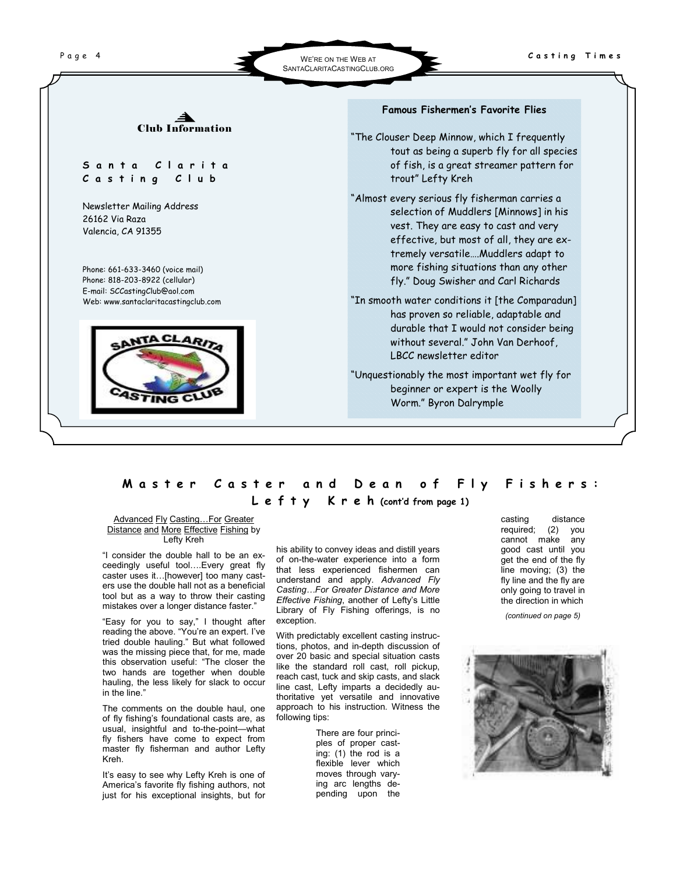

## Master Caster and Dean of Fly Fishers: L e f t y K r e h (cont'd from page 1)

Advanced Fly Casting…For Greater Distance and More Effective Fishing by Lefty Kreh

"I consider the double hall to be an exceedingly useful tool….Every great fly caster uses it…[however] too many casters use the double hall not as a beneficial tool but as a way to throw their casting mistakes over a longer distance faster."

"Easy for you to say," I thought after reading the above. "You're an expert. I've tried double hauling." But what followed was the missing piece that, for me, made this observation useful: "The closer the two hands are together when double hauling, the less likely for slack to occur in the line."

The comments on the double haul, one of fly fishing's foundational casts are, as usual, insightful and to-the-point—what fly fishers have come to expect from master fly fisherman and author Lefty Kreh.

It's easy to see why Lefty Kreh is one of America's favorite fly fishing authors, not just for his exceptional insights, but for

his ability to convey ideas and distill years of on-the-water experience into a form that less experienced fishermen can understand and apply. Advanced Fly Casting…For Greater Distance and More Effective Fishing, another of Lefty's Little Library of Fly Fishing offerings, is no exception.

With predictably excellent casting instructions, photos, and in-depth discussion of over 20 basic and special situation casts like the standard roll cast, roll pickup, reach cast, tuck and skip casts, and slack line cast, Lefty imparts a decidedly authoritative yet versatile and innovative approach to his instruction. Witness the following tips:

> There are four principles of proper casting: (1) the rod is a flexible lever which moves through varying arc lengths depending upon the

casting distance required; (2) you cannot make any good cast until you get the end of the fly line moving; (3) the fly line and the fly are only going to travel in the direction in which

(continued on page 5)

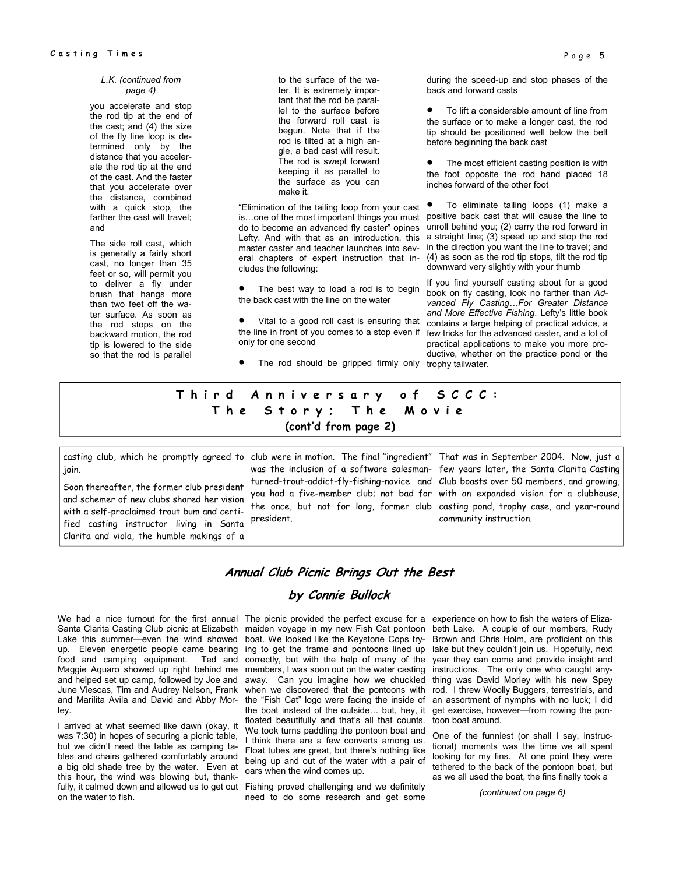#### L.K. (continued from page 4)

you accelerate and stop the rod tip at the end of the cast; and (4) the size of the fly line loop is determined only by the distance that you accelerate the rod tip at the end of the cast. And the faster that you accelerate over the distance, combined with a quick stop, the farther the cast will travel; and

The side roll cast, which is generally a fairly short cast, no longer than 35 feet or so, will permit you to deliver a fly under brush that hangs more than two feet off the water surface. As soon as the rod stops on the backward motion, the rod tip is lowered to the side so that the rod is parallel

to the surface of the water. It is extremely important that the rod be parallel to the surface before the forward roll cast is begun. Note that if the rod is tilted at a high angle, a bad cast will result. The rod is swept forward keeping it as parallel to the surface as you can make it.

"Elimination of the tailing loop from your cast is…one of the most important things you must do to become an advanced fly caster" opines Lefty. And with that as an introduction, this master caster and teacher launches into several chapters of expert instruction that includes the following:

The best way to load a rod is to begin the back cast with the line on the water

Vital to a good roll cast is ensuring that the line in front of you comes to a stop even if only for one second

during the speed-up and stop phases of the back and forward casts

• To lift a considerable amount of line from the surface or to make a longer cast, the rod tip should be positioned well below the belt before beginning the back cast

The most efficient casting position is with the foot opposite the rod hand placed 18 inches forward of the other foot

• To eliminate tailing loops (1) make a positive back cast that will cause the line to unroll behind you; (2) carry the rod forward in a straight line; (3) speed up and stop the rod in the direction you want the line to travel; and (4) as soon as the rod tip stops, tilt the rod tip downward very slightly with your thumb

If you find yourself casting about for a good book on fly casting, look no farther than Advanced Fly Casting…For Greater Distance and More Effective Fishing. Lefty's little book contains a large helping of practical advice, a few tricks for the advanced caster, and a lot of practical applications to make you more productive, whether on the practice pond or the

• The rod should be gripped firmly only trophy tailwater.

## Third Anniversary of SCCC: The Story; The Movie (cont'd from page 2)

join.

Soon thereafter, the former club president and schemer of new clubs shared her vision with a self-proclaimed trout bum and certified casting instructor living in Santa Clarita and viola, the humble makings of a

president.

casting club, which he promptly agreed to club were in motion. The final "ingredient" That was in September 2004. Now, just a was the inclusion of a software salesman-few years later, the Santa Clarita Casting turned-trout-addict-fly-fishing-novice and Club boasts over 50 members, and growing, you had a five-member club; not bad for with an expanded vision for a clubhouse, the once, but not for long, former club casting pond, trophy case, and year-round community instruction.

## Annual Club Picnic Brings Out the Best

## by Connie Bullock

We had a nice turnout for the first annual The picnic provided the perfect excuse for a experience on how to fish the waters of Eliza-Santa Clarita Casting Club picnic at Elizabeth Lake this summer—even the wind showed up. Eleven energetic people came bearing food and camping equipment. Ted and Maggie Aquaro showed up right behind me and helped set up camp, followed by Joe and June Viescas, Tim and Audrey Nelson, Frank and Marilita Avila and David and Abby Morley.

I arrived at what seemed like dawn (okay, it was 7:30) in hopes of securing a picnic table, but we didn't need the table as camping tables and chairs gathered comfortably around a big old shade tree by the water. Even at this hour, the wind was blowing but, thankfully, it calmed down and allowed us to get out Fishing proved challenging and we definitely on the water to fish.

maiden voyage in my new Fish Cat pontoon boat. We looked like the Keystone Cops trying to get the frame and pontoons lined up correctly, but with the help of many of the members, I was soon out on the water casting away. Can you imagine how we chuckled when we discovered that the pontoons with the "Fish Cat" logo were facing the inside of the boat instead of the outside… but, hey, it floated beautifully and that's all that counts. We took turns paddling the pontoon boat and think there are a few converts among us. Float tubes are great, but there's nothing like being up and out of the water with a pair of oars when the wind comes up.

need to do some research and get some

beth Lake. A couple of our members, Rudy Brown and Chris Holm, are proficient on this lake but they couldn't join us. Hopefully, next year they can come and provide insight and instructions. The only one who caught anything was David Morley with his new Spey rod. I threw Woolly Buggers, terrestrials, and an assortment of nymphs with no luck; I did get exercise, however—from rowing the pontoon boat around.

One of the funniest (or shall I say, instructional) moments was the time we all spent looking for my fins. At one point they were tethered to the back of the pontoon boat, but as we all used the boat, the fins finally took a

(continued on page 6)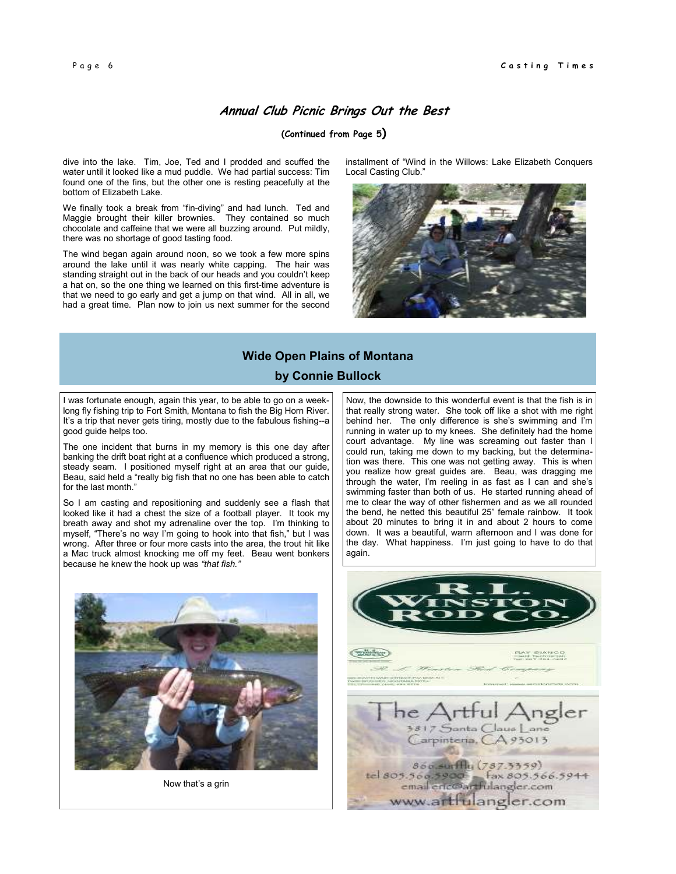## Annual Club Picnic Brings Out the Best

## (Continued from Page 5)

dive into the lake. Tim, Joe, Ted and I prodded and scuffed the water until it looked like a mud puddle. We had partial success: Tim found one of the fins, but the other one is resting peacefully at the bottom of Elizabeth Lake.

We finally took a break from "fin-diving" and had lunch. Ted and Maggie brought their killer brownies. They contained so much chocolate and caffeine that we were all buzzing around. Put mildly, there was no shortage of good tasting food.

The wind began again around noon, so we took a few more spins around the lake until it was nearly white capping. The hair was standing straight out in the back of our heads and you couldn't keep a hat on, so the one thing we learned on this first-time adventure is that we need to go early and get a jump on that wind. All in all, we had a great time. Plan now to join us next summer for the second installment of "Wind in the Willows: Lake Elizabeth Conquers Local Casting Club."



## Wide Open Plains of Montana by Connie Bullock

I was fortunate enough, again this year, to be able to go on a weeklong fly fishing trip to Fort Smith, Montana to fish the Big Horn River. It's a trip that never gets tiring, mostly due to the fabulous fishing--a good guide helps too.

The one incident that burns in my memory is this one day after banking the drift boat right at a confluence which produced a strong, steady seam. I positioned myself right at an area that our guide, Beau, said held a "really big fish that no one has been able to catch for the last month."

So I am casting and repositioning and suddenly see a flash that looked like it had a chest the size of a football player. It took my breath away and shot my adrenaline over the top. I'm thinking to myself, "There's no way I'm going to hook into that fish," but I was wrong. After three or four more casts into the area, the trout hit like a Mac truck almost knocking me off my feet. Beau went bonkers because he knew the hook up was "that fish."



Now that's a grin

Now, the downside to this wonderful event is that the fish is in that really strong water. She took off like a shot with me right behind her. The only difference is she's swimming and I'm running in water up to my knees. She definitely had the home court advantage. My line was screaming out faster than I could run, taking me down to my backing, but the determination was there. This one was not getting away. This is when you realize how great guides are. Beau, was dragging me through the water, I'm reeling in as fast as I can and she's swimming faster than both of us. He started running ahead of me to clear the way of other fishermen and as we all rounded the bend, he netted this beautiful 25" female rainbow. It took about 20 minutes to bring it in and about 2 hours to come down. It was a beautiful, warm afternoon and I was done for the day. What happiness. I'm just going to have to do that again.